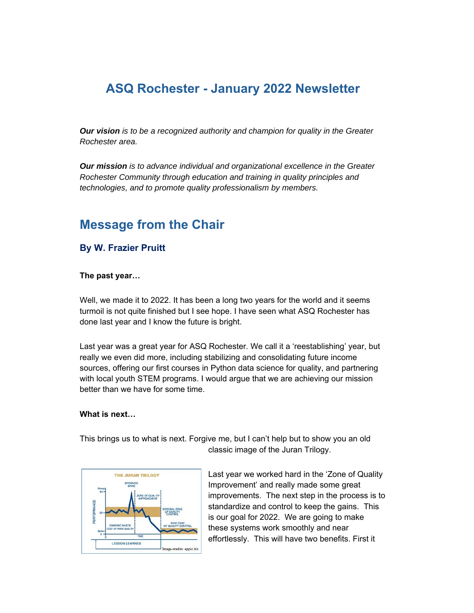# **ASQ Rochester - January 2022 Newsletter**

*Our vision is to be a recognized authority and champion for quality in the Greater Rochester area.* 

*Our mission is to advance individual and organizational excellence in the Greater Rochester Community through education and training in quality principles and technologies, and to promote quality professionalism by members.* 

## **Message from the Chair**

### **By W. Frazier Pruitt**

### **The past year…**

Well, we made it to 2022. It has been a long two years for the world and it seems turmoil is not quite finished but I see hope. I have seen what ASQ Rochester has done last year and I know the future is bright.

Last year was a great year for ASQ Rochester. We call it a 'reestablishing' year, but really we even did more, including stabilizing and consolidating future income sources, offering our first courses in Python data science for quality, and partnering with local youth STEM programs. I would argue that we are achieving our mission better than we have for some time.

#### **What is next…**

This brings us to what is next. Forgive me, but I can't help but to show you an old classic image of the Juran Trilogy.



Last year we worked hard in the 'Zone of Quality Improvement' and really made some great improvements. The next step in the process is to standardize and control to keep the gains. This is our goal for 2022. We are going to make these systems work smoothly and near effortlessly. This will have two benefits. First it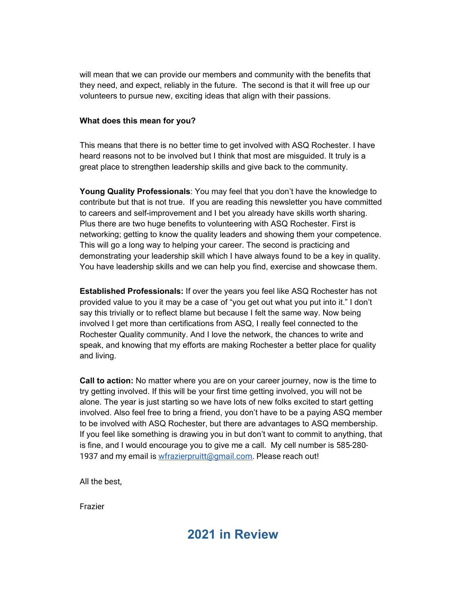will mean that we can provide our members and community with the benefits that they need, and expect, reliably in the future. The second is that it will free up our volunteers to pursue new, exciting ideas that align with their passions.

#### **What does this mean for you?**

This means that there is no better time to get involved with ASQ Rochester. I have heard reasons not to be involved but I think that most are misguided. It truly is a great place to strengthen leadership skills and give back to the community.

**Young Quality Professionals**: You may feel that you don't have the knowledge to contribute but that is not true. If you are reading this newsletter you have committed to careers and self-improvement and I bet you already have skills worth sharing. Plus there are two huge benefits to volunteering with ASQ Rochester. First is networking; getting to know the quality leaders and showing them your competence. This will go a long way to helping your career. The second is practicing and demonstrating your leadership skill which I have always found to be a key in quality. You have leadership skills and we can help you find, exercise and showcase them.

**Established Professionals:** If over the years you feel like ASQ Rochester has not provided value to you it may be a case of "you get out what you put into it." I don't say this trivially or to reflect blame but because I felt the same way. Now being involved I get more than certifications from ASQ, I really feel connected to the Rochester Quality community. And I love the network, the chances to write and speak, and knowing that my efforts are making Rochester a better place for quality and living.

**Call to action:** No matter where you are on your career journey, now is the time to try getting involved. If this will be your first time getting involved, you will not be alone. The year is just starting so we have lots of new folks excited to start getting involved. Also feel free to bring a friend, you don't have to be a paying ASQ member to be involved with ASQ Rochester, but there are advantages to ASQ membership. If you feel like something is drawing you in but don't want to commit to anything, that is fine, and I would encourage you to give me a call. My cell number is 585-280- 1937 and my email is wfrazierpruitt@gmail.com. Please reach out!

All the best,

Frazier

## **2021 in Review**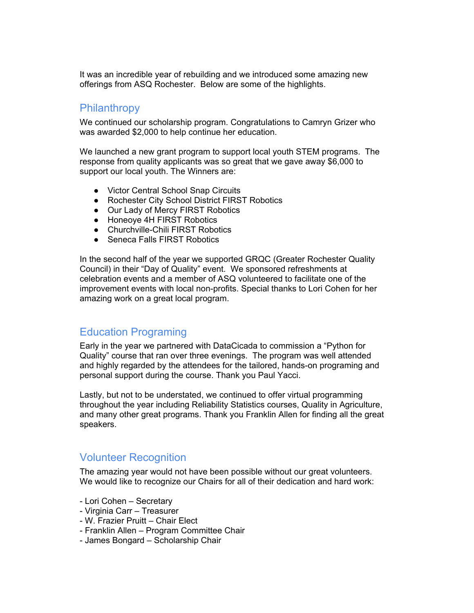It was an incredible year of rebuilding and we introduced some amazing new offerings from ASQ Rochester. Below are some of the highlights.

## Philanthropy

We continued our scholarship program. Congratulations to Camryn Grizer who was awarded \$2,000 to help continue her education.

We launched a new grant program to support local youth STEM programs. The response from quality applicants was so great that we gave away \$6,000 to support our local youth. The Winners are:

- Victor Central School Snap Circuits
- Rochester City School District FIRST Robotics
- Our Lady of Mercy FIRST Robotics
- Honeoye 4H FIRST Robotics
- Churchville-Chili FIRST Robotics
- Seneca Falls FIRST Robotics

In the second half of the year we supported GRQC (Greater Rochester Quality Council) in their "Day of Quality" event. We sponsored refreshments at celebration events and a member of ASQ volunteered to facilitate one of the improvement events with local non-profits. Special thanks to Lori Cohen for her amazing work on a great local program.

## Education Programing

Early in the year we partnered with DataCicada to commission a "Python for Quality" course that ran over three evenings. The program was well attended and highly regarded by the attendees for the tailored, hands-on programing and personal support during the course. Thank you Paul Yacci.

Lastly, but not to be understated, we continued to offer virtual programming throughout the year including Reliability Statistics courses, Quality in Agriculture, and many other great programs. Thank you Franklin Allen for finding all the great speakers.

## Volunteer Recognition

The amazing year would not have been possible without our great volunteers. We would like to recognize our Chairs for all of their dedication and hard work:

- Lori Cohen Secretary
- Virginia Carr Treasurer
- W. Frazier Pruitt Chair Elect
- Franklin Allen Program Committee Chair
- James Bongard Scholarship Chair